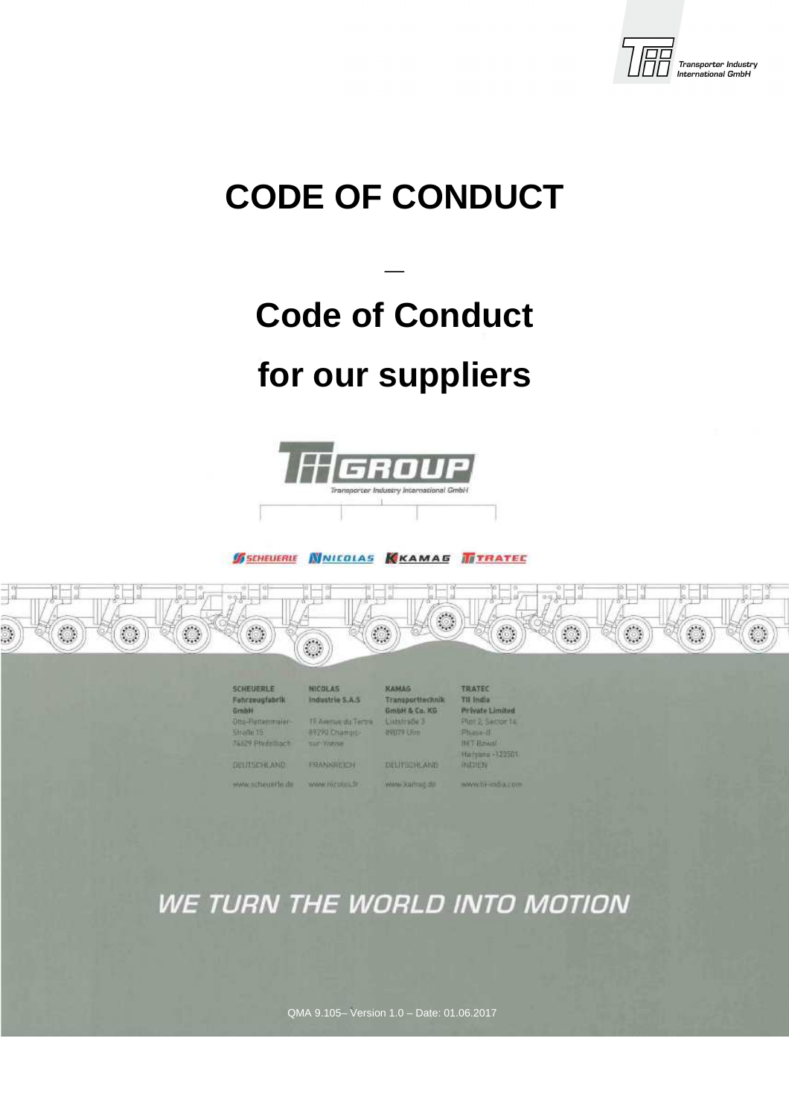

# **CODE OF CONDUCT**

# **Code of Conduct**

**\_** 

# **for our suppliers**



**SSCHEUERLE WINICOLAS KKAMAS TITRATEE** 



| SCHEUERLE<br><b>Fahrzeugfabrik</b><br>_____<br><b>Grinbill</b>                         | <b>NICOEAS</b><br>Industrie 5.A.S.<br><b>TELEVISION CONTRACTOR</b>                       | КАМАБ<br>Transportivennik<br><b>GmbH &amp; Co. KG</b> | <b>TRATEC</b><br><b>Til India</b><br>Private Limited       |  |
|----------------------------------------------------------------------------------------|------------------------------------------------------------------------------------------|-------------------------------------------------------|------------------------------------------------------------|--|
| <b>PERMIT AND RESIDENCE</b><br>Otto-Fiettenmaint-<br>Strade 15<br><b>NAME PERSONAL</b> | <b>Commercial Contract Contract</b><br>19 Airemos du verme<br>89290 Champis<br>tar haras | Uststraße 3<br><b>INGOTO UTOm</b>                     | Plan 2: Sector 14<br>Phase-II<br>Hall Fraund               |  |
| <b>DULITUDAL AND</b><br><b>Constitution of the Constitution</b>                        | <b>FRANKIEREN</b><br>.                                                                   | <b>FEDERAL PROPERTY</b><br><b><i>DULITSCHLAND</i></b> | Harvans +122501<br><b>INITIER</b><br><b><i>PARTIES</i></b> |  |
| www.wittesterbude                                                                      | www.nicoura.fr                                                                           | WWW.karmat.do                                         | WWW.TO -ODUCTION                                           |  |

# WE TURN THE WORLD INTO MOTION

QMA 9.105– Version 1.0 – Date: 01.06.2017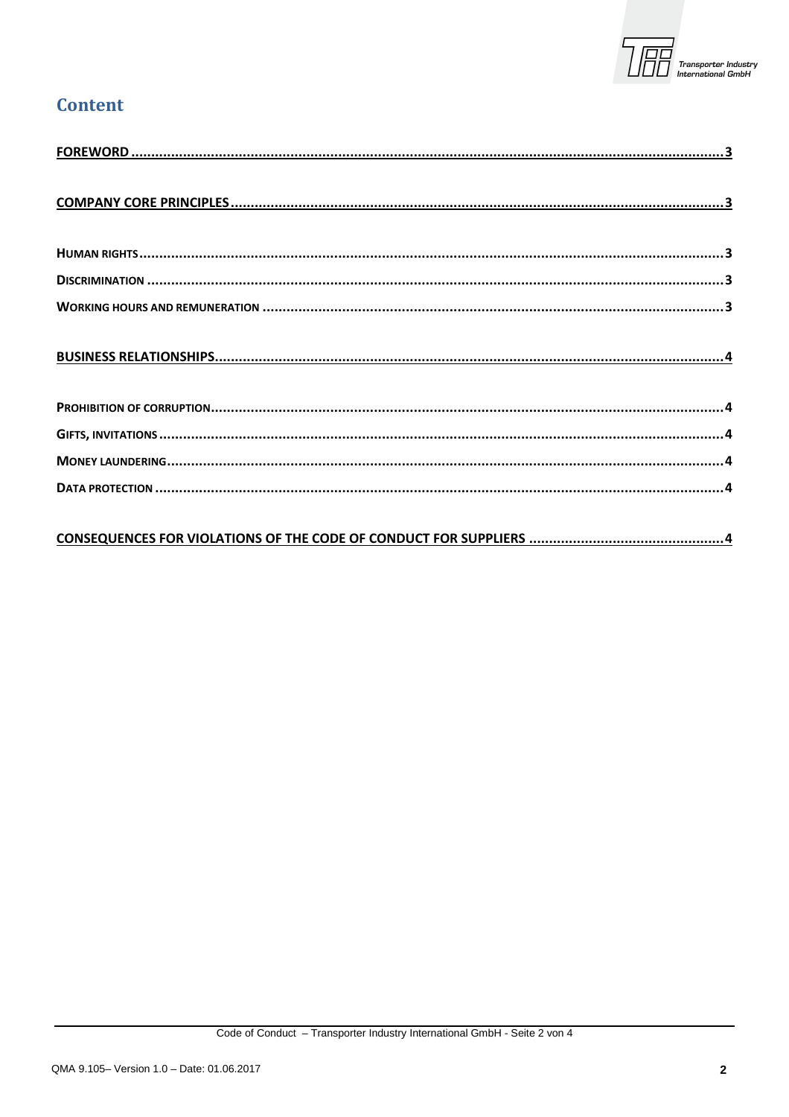

#### **Content**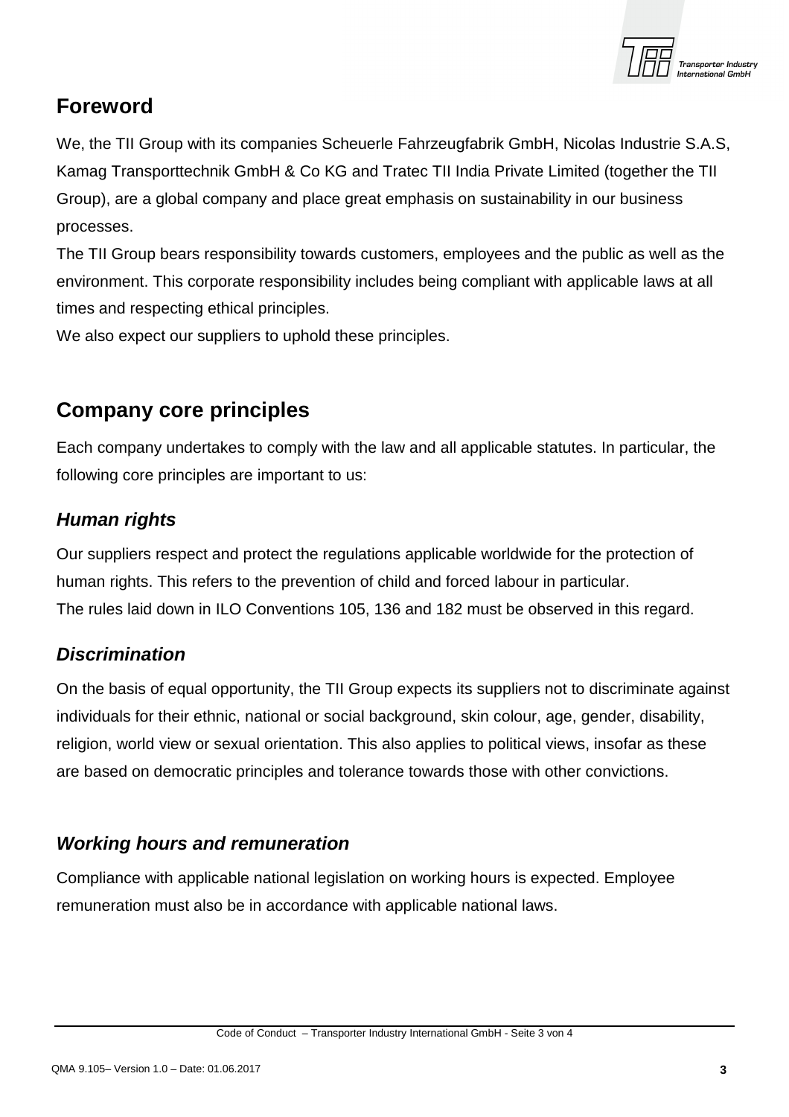

## **Foreword**

We, the TII Group with its companies Scheuerle Fahrzeugfabrik GmbH, Nicolas Industrie S.A.S, Kamag Transporttechnik GmbH & Co KG and Tratec TII India Private Limited (together the TII Group), are a global company and place great emphasis on sustainability in our business processes.

The TII Group bears responsibility towards customers, employees and the public as well as the environment. This corporate responsibility includes being compliant with applicable laws at all times and respecting ethical principles.

We also expect our suppliers to uphold these principles.

## **Company core principles**

Each company undertakes to comply with the law and all applicable statutes. In particular, the following core principles are important to us:

#### **Human rights**

Our suppliers respect and protect the regulations applicable worldwide for the protection of human rights. This refers to the prevention of child and forced labour in particular. The rules laid down in ILO Conventions 105, 136 and 182 must be observed in this regard.

#### **Discrimination**

On the basis of equal opportunity, the TII Group expects its suppliers not to discriminate against individuals for their ethnic, national or social background, skin colour, age, gender, disability, religion, world view or sexual orientation. This also applies to political views, insofar as these are based on democratic principles and tolerance towards those with other convictions.

#### **Working hours and remuneration**

Compliance with applicable national legislation on working hours is expected. Employee remuneration must also be in accordance with applicable national laws.